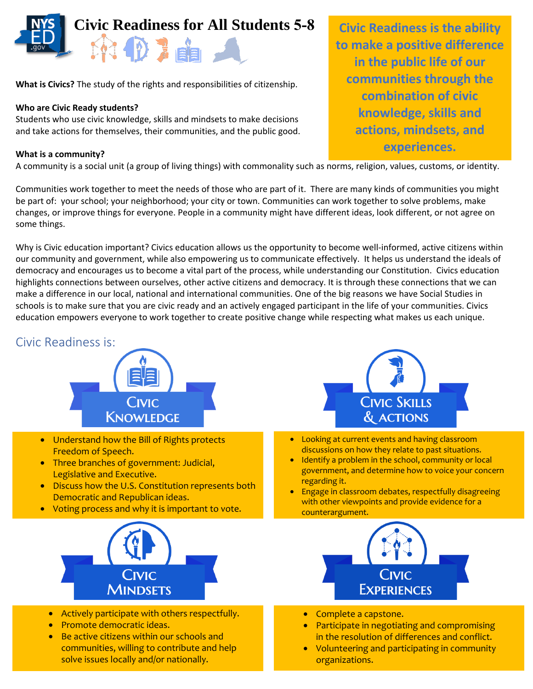

**What is Civics?** The study of the rights and responsibilities of citizenship.

### **Who are Civic Ready students?**

Students who use civic knowledge, skills and mindsets to make decisions and take actions for themselves, their communities, and the public good.

#### **What is a community?**

A community is a social unit (a group of living things) with commonality such as norms, religion, values, customs, or identity.

Communities work together to meet the needs of those who are part of it. There are many kinds of communities you might be part of: your school; your neighborhood; your city or town. Communities can work together to solve problems, make changes, or improve things for everyone. People in a community might have different ideas, look different, or not agree on some things.

Why is Civic education important? Civics education allows us the opportunity to become well-informed, active citizens within our community and government, while also empowering us to communicate effectively. It helps us understand the ideals of democracy and encourages us to become a vital part of the process, while understanding our Constitution. Civics education highlights connections between ourselves, other active citizens and democracy. It is through these connections that we can make a difference in our local, national and international communities. One of the big reasons we have Social Studies in schools is to make sure that you are civic ready and an actively engaged participant in the life of your communities. Civics education empowers everyone to work together to create positive change while respecting what makes us each unique.

### Civic Readiness is:



- Understand how the Bill of Rights protects Freedom of Speech.
- Three branches of government: Judicial, Legislative and Executive.
- Discuss how the U.S. Constitution represents both Democratic and Republican ideas.
- Voting process and why it is important to vote.



- Actively participate with others respectfully.
- Promote democratic ideas.
- Be active citizens within our schools and communities, willing to contribute and help solve issues locally and/or nationally.



- Looking at current events and having classroom discussions on how they relate to past situations.
- Identify a problem in the school, community or local government, and determine how to voice your concern regarding it.
- Engage in classroom debates, respectfully disagreeing with other viewpoints and provide evidence for a counterargument.



- Complete a capstone.
- Participate in negotiating and compromising in the resolution of differences and conflict.
- Volunteering and participating in community organizations.

**Civic Readiness is the ability to make a positive difference in the public life of our communities through the combination of civic knowledge, skills and actions, mindsets, and experiences.**